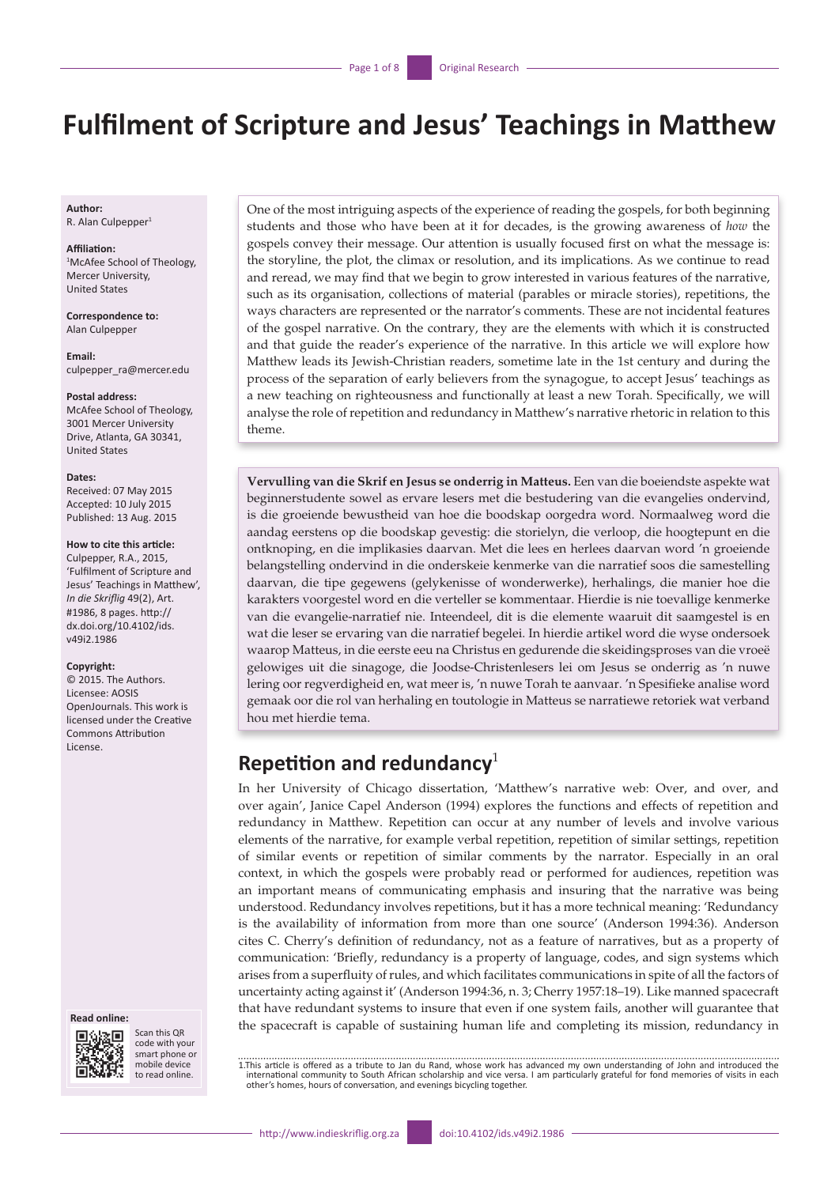# **Fulfilment of Scripture and Jesus' Teachings in Matthew**

**Author:** R. Alan Culpepper

#### **Affiliation:**

1 McAfee School of Theology, Mercer University, United States

**Correspondence to:** Alan Culpepper

**Email:** [culpepper\\_ra@mercer.edu](mailto:culpepper_ra@mercer.edu)

#### **Postal address:**

McAfee School of Theology, 3001 Mercer University Drive, Atlanta, GA 30341, United States

#### **Dates:**

Received: 07 May 2015 Accepted: 10 July 2015 Published: 13 Aug. 2015

### **How to cite this article:**

Culpepper, R.A., 2015, 'Fulfilment of Scripture and Jesus' Teachings in Matthew', *In die Skriflig* 49(2), Art. #1986, 8 pages. [http://](http://dx.doi.org/10.4102/ids.v49i2.1986) [dx.doi.org/10.4102/ids.](http://dx.doi.org/10.4102/ids.v49i2.1986) [v49i2.1986](http://dx.doi.org/10.4102/ids.v49i2.1986)

#### **Copyright:**

© 2015. The Authors. Licensee: AOSIS OpenJournals. This work is licensed under the Creative Commons Attribution License.





Scan this QR code with your smart phone or mobile device to read online.

One of the most intriguing aspects of the experience of reading the gospels, for both beginning students and those who have been at it for decades, is the growing awareness of *how* the gospels convey their message. Our attention is usually focused first on what the message is: the storyline, the plot, the climax or resolution, and its implications. As we continue to read and reread, we may find that we begin to grow interested in various features of the narrative, such as its organisation, collections of material (parables or miracle stories), repetitions, the ways characters are represented or the narrator's comments. These are not incidental features of the gospel narrative. On the contrary, they are the elements with which it is constructed and that guide the reader's experience of the narrative. In this article we will explore how Matthew leads its Jewish-Christian readers, sometime late in the 1st century and during the process of the separation of early believers from the synagogue, to accept Jesus' teachings as a new teaching on righteousness and functionally at least a new Torah. Specifically, we will analyse the role of repetition and redundancy in Matthew's narrative rhetoric in relation to this theme.

**Vervulling van die Skrif en Jesus se onderrig in Matteus.** Een van die boeiendste aspekte wat beginnerstudente sowel as ervare lesers met die bestudering van die evangelies ondervind, is die groeiende bewustheid van hoe die boodskap oorgedra word. Normaalweg word die aandag eerstens op die boodskap gevestig: die storielyn, die verloop, die hoogtepunt en die ontknoping, en die implikasies daarvan. Met die lees en herlees daarvan word 'n groeiende belangstelling ondervind in die onderskeie kenmerke van die narratief soos die samestelling daarvan, die tipe gegewens (gelykenisse of wonderwerke), herhalings, die manier hoe die karakters voorgestel word en die verteller se kommentaar. Hierdie is nie toevallige kenmerke van die evangelie-narratief nie. Inteendeel, dit is die elemente waaruit dit saamgestel is en wat die leser se ervaring van die narratief begelei. In hierdie artikel word die wyse ondersoek waarop Matteus, in die eerste eeu na Christus en gedurende die skeidingsproses van die vroeë gelowiges uit die sinagoge, die Joodse-Christenlesers lei om Jesus se onderrig as 'n nuwe lering oor regverdigheid en, wat meer is, 'n nuwe Torah te aanvaar. 'n Spesifieke analise word gemaak oor die rol van herhaling en toutologie in Matteus se narratiewe retoriek wat verband hou met hierdie tema.

## **Repetition and redundancy**<sup>1</sup>

In her University of Chicago dissertation, 'Matthew's narrative web: Over, and over, and over again', Janice Capel Anderson (1994) explores the functions and effects of repetition and redundancy in Matthew. Repetition can occur at any number of levels and involve various elements of the narrative, for example verbal repetition, repetition of similar settings, repetition of similar events or repetition of similar comments by the narrator. Especially in an oral context, in which the gospels were probably read or performed for audiences, repetition was an important means of communicating emphasis and insuring that the narrative was being understood. Redundancy involves repetitions, but it has a more technical meaning: 'Redundancy is the availability of information from more than one source' (Anderson 1994:36). Anderson cites C. Cherry's definition of redundancy, not as a feature of narratives, but as a property of communication: 'Briefly, redundancy is a property of language, codes, and sign systems which arises from a superfluity of rules, and which facilitates communications in spite of all the factors of uncertainty acting against it' (Anderson 1994:36, n. 3; Cherry 1957:18–19). Like manned spacecraft that have redundant systems to insure that even if one system fails, another will guarantee that the spacecraft is capable of sustaining human life and completing its mission, redundancy in

1.This article is offered as a tribute to Jan du Rand, whose work has advanced my own understanding of John and introduced the<br>international community to South African scholarship and vice versa. I am particularly grateful other's homes, hours of conversation, and evenings bicycling together.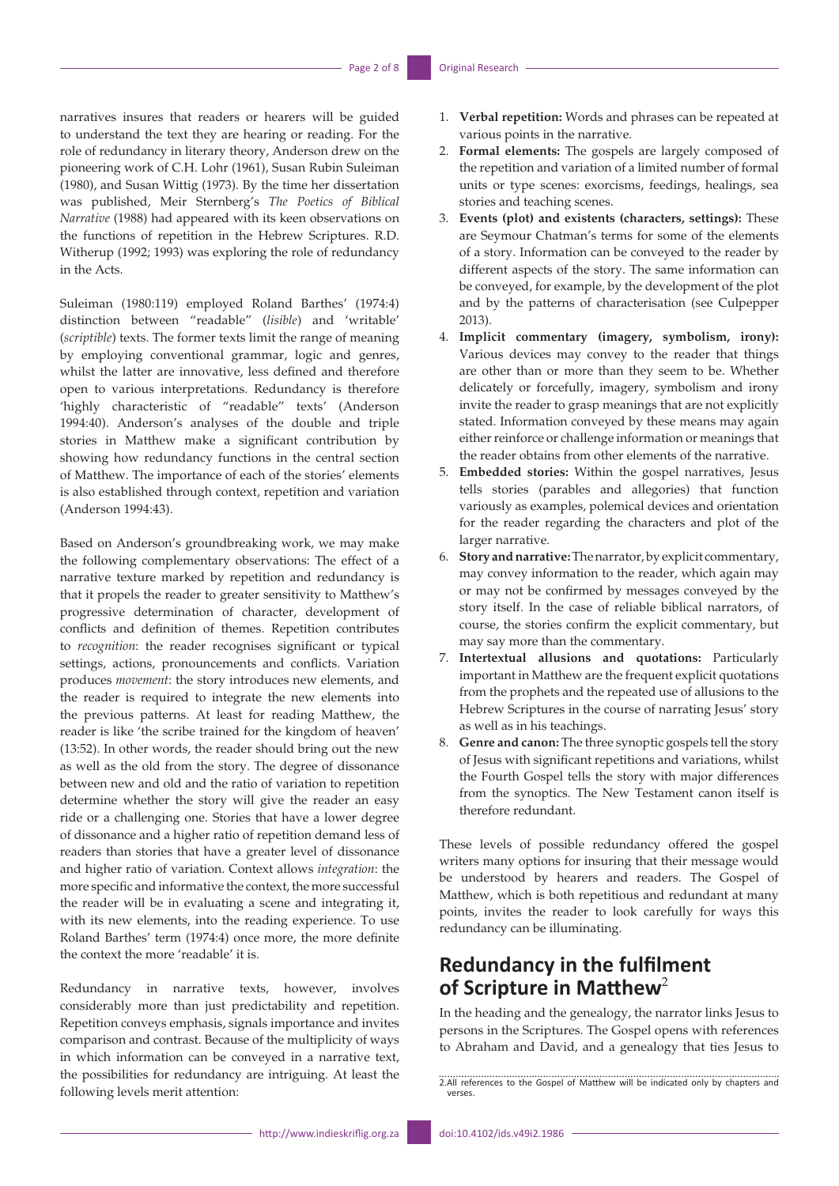narratives insures that readers or hearers will be guided to understand the text they are hearing or reading. For the role of redundancy in literary theory, Anderson drew on the pioneering work of C.H. Lohr (1961), Susan Rubin Suleiman (1980), and Susan Wittig (1973). By the time her dissertation was published, Meir Sternberg's *The Poetics of Biblical Narrative* (1988) had appeared with its keen observations on the functions of repetition in the Hebrew Scriptures. R.D. Witherup (1992; 1993) was exploring the role of redundancy in the Acts.

Suleiman (1980:119) employed Roland Barthes' (1974:4) distinction between "readable" (*lisible*) and 'writable' (*scriptible*) texts. The former texts limit the range of meaning by employing conventional grammar, logic and genres, whilst the latter are innovative, less defined and therefore open to various interpretations. Redundancy is therefore 'highly characteristic of "readable" texts' (Anderson 1994:40). Anderson's analyses of the double and triple stories in Matthew make a significant contribution by showing how redundancy functions in the central section of Matthew. The importance of each of the stories' elements is also established through context, repetition and variation (Anderson 1994:43).

Based on Anderson's groundbreaking work, we may make the following complementary observations: The effect of a narrative texture marked by repetition and redundancy is that it propels the reader to greater sensitivity to Matthew's progressive determination of character, development of conflicts and definition of themes. Repetition contributes to *recognition*: the reader recognises significant or typical settings, actions, pronouncements and conflicts. Variation produces *movement*: the story introduces new elements, and the reader is required to integrate the new elements into the previous patterns. At least for reading Matthew, the reader is like 'the scribe trained for the kingdom of heaven' (13:52). In other words, the reader should bring out the new as well as the old from the story. The degree of dissonance between new and old and the ratio of variation to repetition determine whether the story will give the reader an easy ride or a challenging one. Stories that have a lower degree of dissonance and a higher ratio of repetition demand less of readers than stories that have a greater level of dissonance and higher ratio of variation. Context allows *integration*: the more specific and informative the context, the more successful the reader will be in evaluating a scene and integrating it, with its new elements, into the reading experience. To use Roland Barthes' term (1974:4) once more, the more definite the context the more 'readable' it is.

Redundancy in narrative texts, however, involves considerably more than just predictability and repetition. Repetition conveys emphasis, signals importance and invites comparison and contrast. Because of the multiplicity of ways in which information can be conveyed in a narrative text, the possibilities for redundancy are intriguing. At least the following levels merit attention:

- 1. **Verbal repetition:** Words and phrases can be repeated at various points in the narrative.
- 2. **Formal elements:** The gospels are largely composed of the repetition and variation of a limited number of formal units or type scenes: exorcisms, feedings, healings, sea stories and teaching scenes.
- 3. **Events (plot) and existents (characters, settings):** These are Seymour Chatman's terms for some of the elements of a story. Information can be conveyed to the reader by different aspects of the story. The same information can be conveyed, for example, by the development of the plot and by the patterns of characterisation (see Culpepper 2013).
- 4. **Implicit commentary (imagery, symbolism, irony):** Various devices may convey to the reader that things are other than or more than they seem to be. Whether delicately or forcefully, imagery, symbolism and irony invite the reader to grasp meanings that are not explicitly stated. Information conveyed by these means may again either reinforce or challenge information or meanings that the reader obtains from other elements of the narrative.
- 5. **Embedded stories:** Within the gospel narratives, Jesus tells stories (parables and allegories) that function variously as examples, polemical devices and orientation for the reader regarding the characters and plot of the larger narrative.
- 6. **Story and narrative:** The narrator, by explicit commentary, may convey information to the reader, which again may or may not be confirmed by messages conveyed by the story itself. In the case of reliable biblical narrators, of course, the stories confirm the explicit commentary, but may say more than the commentary.
- 7. **Intertextual allusions and quotations:** Particularly important in Matthew are the frequent explicit quotations from the prophets and the repeated use of allusions to the Hebrew Scriptures in the course of narrating Jesus' story as well as in his teachings.
- 8. **Genre and canon:** The three synoptic gospels tell the story of Jesus with significant repetitions and variations, whilst the Fourth Gospel tells the story with major differences from the synoptics. The New Testament canon itself is therefore redundant.

These levels of possible redundancy offered the gospel writers many options for insuring that their message would be understood by hearers and readers. The Gospel of Matthew, which is both repetitious and redundant at many points, invites the reader to look carefully for ways this redundancy can be illuminating.

## **Redundancy in the fulfilment of Scripture in Matthew**<sup>2</sup>

In the heading and the genealogy, the narrator links Jesus to persons in the Scriptures. The Gospel opens with references to Abraham and David, and a genealogy that ties Jesus to

<sup>2.</sup>All references to the Gospel of Matthew will be indicated only by chapters and verses.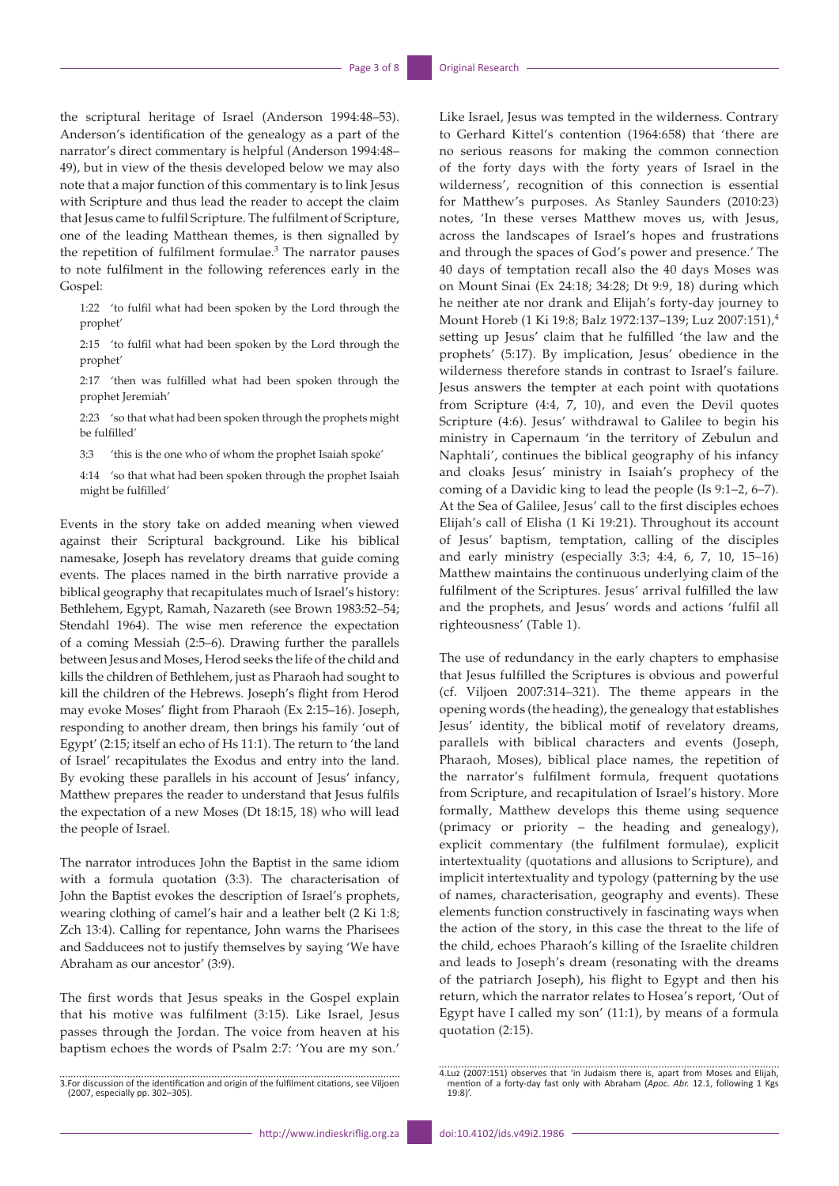the scriptural heritage of Israel (Anderson 1994:48–53). Anderson's identification of the genealogy as a part of the narrator's direct commentary is helpful (Anderson 1994:48– 49), but in view of the thesis developed below we may also note that a major function of this commentary is to link Jesus with Scripture and thus lead the reader to accept the claim that Jesus came to fulfil Scripture. The fulfilment of Scripture, one of the leading Matthean themes, is then signalled by the repetition of fulfilment formulae.<sup>3</sup> The narrator pauses to note fulfilment in the following references early in the Gospel:

1:22 'to fulfil what had been spoken by the Lord through the prophet'

2:15 'to fulfil what had been spoken by the Lord through the prophet'

2:17 'then was fulfilled what had been spoken through the prophet Jeremiah'

2:23 'so that what had been spoken through the prophets might be fulfilled'

3:3 'this is the one who of whom the prophet Isaiah spoke'

4:14 'so that what had been spoken through the prophet Isaiah might be fulfilled'

Events in the story take on added meaning when viewed against their Scriptural background. Like his biblical namesake, Joseph has revelatory dreams that guide coming events. The places named in the birth narrative provide a biblical geography that recapitulates much of Israel's history: Bethlehem, Egypt, Ramah, Nazareth (see Brown 1983:52–54; Stendahl 1964). The wise men reference the expectation of a coming Messiah (2:5–6). Drawing further the parallels between Jesus and Moses, Herod seeks the life of the child and kills the children of Bethlehem, just as Pharaoh had sought to kill the children of the Hebrews. Joseph's flight from Herod may evoke Moses' flight from Pharaoh (Ex 2:15–16). Joseph, responding to another dream, then brings his family 'out of Egypt' (2:15; itself an echo of Hs 11:1). The return to 'the land of Israel' recapitulates the Exodus and entry into the land. By evoking these parallels in his account of Jesus' infancy, Matthew prepares the reader to understand that Jesus fulfils the expectation of a new Moses (Dt 18:15, 18) who will lead the people of Israel.

The narrator introduces John the Baptist in the same idiom with a formula quotation (3:3). The characterisation of John the Baptist evokes the description of Israel's prophets, wearing clothing of camel's hair and a leather belt (2 Ki 1:8; Zch 13:4). Calling for repentance, John warns the Pharisees and Sadducees not to justify themselves by saying 'We have Abraham as our ancestor' (3:9).

The first words that Jesus speaks in the Gospel explain that his motive was fulfilment (3:15). Like Israel, Jesus passes through the Jordan. The voice from heaven at his baptism echoes the words of Psalm 2:7: 'You are my son.'

Like Israel, Jesus was tempted in the wilderness. Contrary to Gerhard Kittel's contention (1964:658) that 'there are no serious reasons for making the common connection of the forty days with the forty years of Israel in the wilderness', recognition of this connection is essential for Matthew's purposes. As Stanley Saunders (2010:23) notes, 'In these verses Matthew moves us, with Jesus, across the landscapes of Israel's hopes and frustrations and through the spaces of God's power and presence.' The 40 days of temptation recall also the 40 days Moses was on Mount Sinai (Ex 24:18; 34:28; Dt 9:9, 18) during which he neither ate nor drank and Elijah's forty-day journey to Mount Horeb (1 Ki 19:8; Balz 1972:137–139; Luz 2007:151),<sup>4</sup> setting up Jesus' claim that he fulfilled 'the law and the prophets' (5:17). By implication, Jesus' obedience in the wilderness therefore stands in contrast to Israel's failure. Jesus answers the tempter at each point with quotations from Scripture (4:4, 7, 10), and even the Devil quotes Scripture (4:6). Jesus' withdrawal to Galilee to begin his ministry in Capernaum 'in the territory of Zebulun and Naphtali', continues the biblical geography of his infancy and cloaks Jesus' ministry in Isaiah's prophecy of the coming of a Davidic king to lead the people (Is 9:1–2, 6–7). At the Sea of Galilee, Jesus' call to the first disciples echoes Elijah's call of Elisha (1 Ki 19:21). Throughout its account of Jesus' baptism, temptation, calling of the disciples and early ministry (especially 3:3; 4:4, 6, 7, 10, 15–16) Matthew maintains the continuous underlying claim of the fulfilment of the Scriptures. Jesus' arrival fulfilled the law and the prophets, and Jesus' words and actions 'fulfil all righteousness' (Table 1).

The use of redundancy in the early chapters to emphasise that Jesus fulfilled the Scriptures is obvious and powerful (cf. Viljoen 2007:314–321). The theme appears in the opening words (the heading), the genealogy that establishes Jesus' identity, the biblical motif of revelatory dreams, parallels with biblical characters and events (Joseph, Pharaoh, Moses), biblical place names, the repetition of the narrator's fulfilment formula, frequent quotations from Scripture, and recapitulation of Israel's history. More formally, Matthew develops this theme using sequence (primacy or priority – the heading and genealogy), explicit commentary (the fulfilment formulae), explicit intertextuality (quotations and allusions to Scripture), and implicit intertextuality and typology (patterning by the use of names, characterisation, geography and events). These elements function constructively in fascinating ways when the action of the story, in this case the threat to the life of the child, echoes Pharaoh's killing of the Israelite children and leads to Joseph's dream (resonating with the dreams of the patriarch Joseph), his flight to Egypt and then his return, which the narrator relates to Hosea's report, 'Out of Egypt have I called my son' (11:1), by means of a formula quotation (2:15).

<sup>3.</sup>For discussion of the identification and origin of the fulfilment citations, see Viljoen (2007, especially pp. 302–305).

<sup>4.</sup>Luz (2007:151) observes that 'in Judaism there is, apart from Moses and Elijah, mention of a forty-day fast only with Abraham (*Apoc. Abr.* 12.1, following 1 Kgs  $19.8$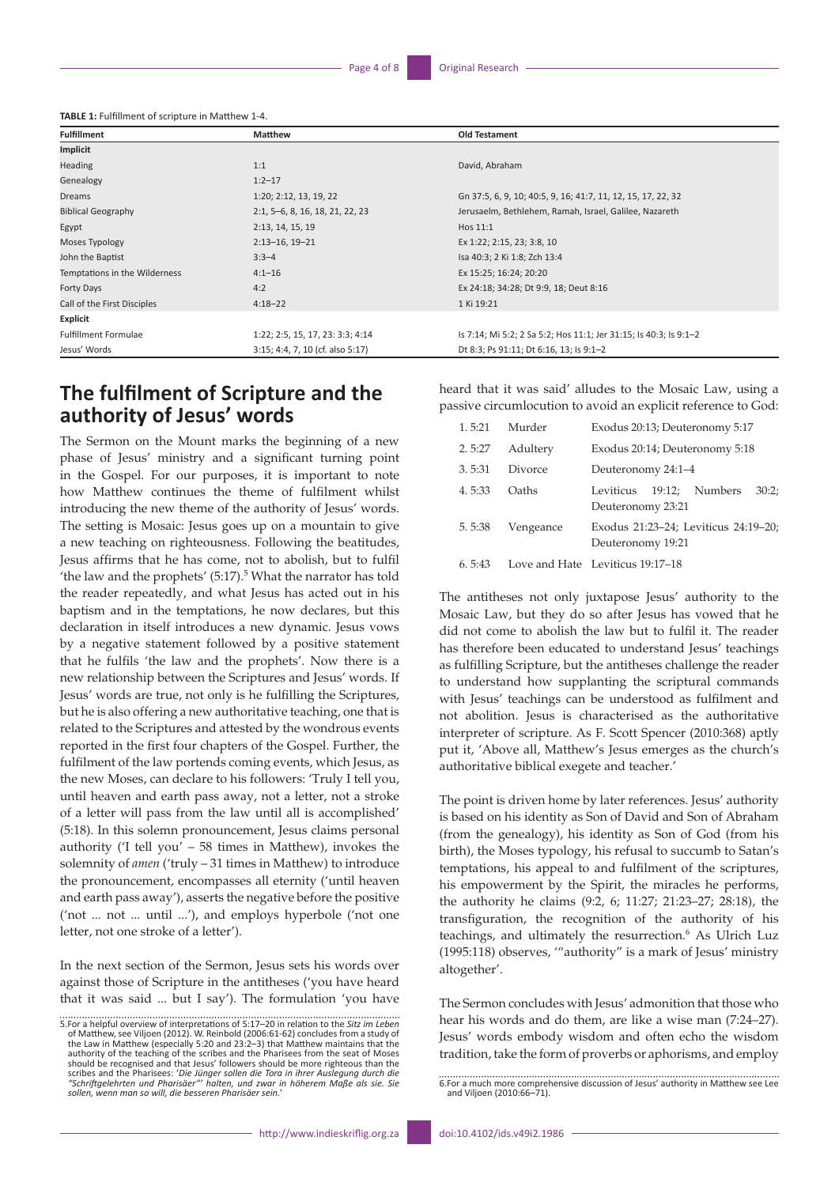| <b>Fulfillment</b>            | <b>Matthew</b>                   | <b>Old Testament</b>                                              |
|-------------------------------|----------------------------------|-------------------------------------------------------------------|
| Implicit                      |                                  |                                                                   |
| <b>Heading</b>                | 1:1                              | David, Abraham                                                    |
| Genealogy                     | $1:2-17$                         |                                                                   |
| <b>Dreams</b>                 | 1:20; 2:12, 13, 19, 22           | Gn 37:5, 6, 9, 10; 40:5, 9, 16; 41:7, 11, 12, 15, 17, 22, 32      |
| <b>Biblical Geography</b>     | 2:1, 5-6, 8, 16, 18, 21, 22, 23  | Jerusaelm, Bethlehem, Ramah, Israel, Galilee, Nazareth            |
| Egypt                         | 2:13, 14, 15, 19                 | Hos $11:1$                                                        |
| Moses Typology                | $2:13 - 16, 19 - 21$             | Ex 1:22; 2:15, 23; 3:8, 10                                        |
| John the Baptist              | $3:3 - 4$                        | Isa 40:3; 2 Ki 1:8; Zch 13:4                                      |
| Temptations in the Wilderness | $4:1 - 16$                       | Ex 15:25; 16:24; 20:20                                            |
| Forty Days                    | 4:2                              | Ex 24:18; 34:28; Dt 9:9, 18; Deut 8:16                            |
| Call of the First Disciples   | $4:18 - 22$                      | 1 Ki 19:21                                                        |
| Explicit                      |                                  |                                                                   |
| <b>Fulfillment Formulae</b>   | 1:22; 2:5, 15, 17, 23: 3:3; 4:14 | Is 7:14; Mi 5:2; 2 Sa 5:2; Hos 11:1; Jer 31:15; Is 40:3; Is 9:1-2 |
| Jesus' Words                  | 3:15; 4:4, 7, 10 (cf. also 5:17) | Dt 8:3; Ps 91:11; Dt 6:16, 13; Is 9:1-2                           |

**TABLE 1:** Fulfillment of scripture in Matthew 1-4.

## **The fulfilment of Scripture and the authority of Jesus' words**

The Sermon on the Mount marks the beginning of a new phase of Jesus' ministry and a significant turning point in the Gospel. For our purposes, it is important to note how Matthew continues the theme of fulfilment whilst introducing the new theme of the authority of Jesus' words. The setting is Mosaic: Jesus goes up on a mountain to give a new teaching on righteousness. Following the beatitudes, Jesus affirms that he has come, not to abolish, but to fulfil 'the law and the prophets'  $(5:17)$ .<sup>5</sup> What the narrator has told the reader repeatedly, and what Jesus has acted out in his baptism and in the temptations, he now declares, but this declaration in itself introduces a new dynamic. Jesus vows by a negative statement followed by a positive statement that he fulfils 'the law and the prophets'. Now there is a new relationship between the Scriptures and Jesus' words. If Jesus' words are true, not only is he fulfilling the Scriptures, but he is also offering a new authoritative teaching, one that is related to the Scriptures and attested by the wondrous events reported in the first four chapters of the Gospel. Further, the fulfilment of the law portends coming events, which Jesus, as the new Moses, can declare to his followers: 'Truly I tell you, until heaven and earth pass away, not a letter, not a stroke of a letter will pass from the law until all is accomplished' (5:18). In this solemn pronouncement, Jesus claims personal authority ('I tell you' – 58 times in Matthew), invokes the solemnity of *amen* ('truly – 31 times in Matthew) to introduce the pronouncement, encompasses all eternity ('until heaven and earth pass away'), asserts the negative before the positive ('not ... not ... until ...'), and employs hyperbole ('not one letter, not one stroke of a letter').

In the next section of the Sermon, Jesus sets his words over against those of Scripture in the antitheses ('you have heard that it was said ... but I say'). The formulation 'you have heard that it was said' alludes to the Mosaic Law, using a passive circumlocution to avoid an explicit reference to God:

| 1.5:21 | Murder    | Exodus 20:13; Deuteronomy 5:17                            |
|--------|-----------|-----------------------------------------------------------|
| 2.5:27 | Adultery  | Exodus 20:14; Deuteronomy 5:18                            |
| 3.5:31 | Divorce   | Deuteronomy 24:1-4                                        |
| 4.5:33 | Oaths     | Leviticus 19:12; Numbers<br>30:2:<br>Deuteronomy 23:21    |
| 5.5:38 | Vengeance | Exodus 21:23–24; Leviticus 24:19–20;<br>Deuteronomy 19:21 |
| 6.5.43 |           | Love and Hate Leviticus 19:17–18                          |

The antitheses not only juxtapose Jesus' authority to the Mosaic Law, but they do so after Jesus has vowed that he did not come to abolish the law but to fulfil it. The reader has therefore been educated to understand Jesus' teachings as fulfilling Scripture, but the antitheses challenge the reader to understand how supplanting the scriptural commands with Jesus' teachings can be understood as fulfilment and not abolition. Jesus is characterised as the authoritative interpreter of scripture. As F. Scott Spencer (2010:368) aptly put it, 'Above all, Matthew's Jesus emerges as the church's authoritative biblical exegete and teacher.'

The point is driven home by later references. Jesus' authority is based on his identity as Son of David and Son of Abraham (from the genealogy), his identity as Son of God (from his birth), the Moses typology, his refusal to succumb to Satan's temptations, his appeal to and fulfilment of the scriptures, his empowerment by the Spirit, the miracles he performs, the authority he claims (9:2, 6; 11:27; 21:23–27; 28:18), the transfiguration, the recognition of the authority of his teachings, and ultimately the resurrection.<sup>6</sup> As Ulrich Luz (1995:118) observes, '"authority" is a mark of Jesus' ministry altogether'.

The Sermon concludes with Jesus' admonition that those who hear his words and do them, are like a wise man (7:24–27). Jesus' words embody wisdom and often echo the wisdom tradition, take the form of proverbs or aphorisms, and employ

<sup>5.</sup>For a helpful overview of interpretations of 5:17–20 in relation to the *Sitz im Leben*  of Matthew, see Viljoen (2012). W. Reinbold (2006:61-62) concludes from a study of the Law in Matthew (especially 5:20 and 23:2–3) that Matthew maintains that the authority of the teaching of the scribes and the Pharisees from the seat of Moses should be recognised and that Jesus' followers should be more righteous than the scribes and the Pharisees: 'Die Jünger sollen die Tora in ihrer Auslegung durch die<br>"Schriftgelehrten und Pharisäer"' halten, und zwar in höherem Maße als sie. Sie<br>sollen, wenn man so will, die besseren Pharisäer sein.'

<sup>6.</sup>For a much more comprehensive discussion of Jesus' authority in Matthew see Lee and Viljoen (2010:66–71).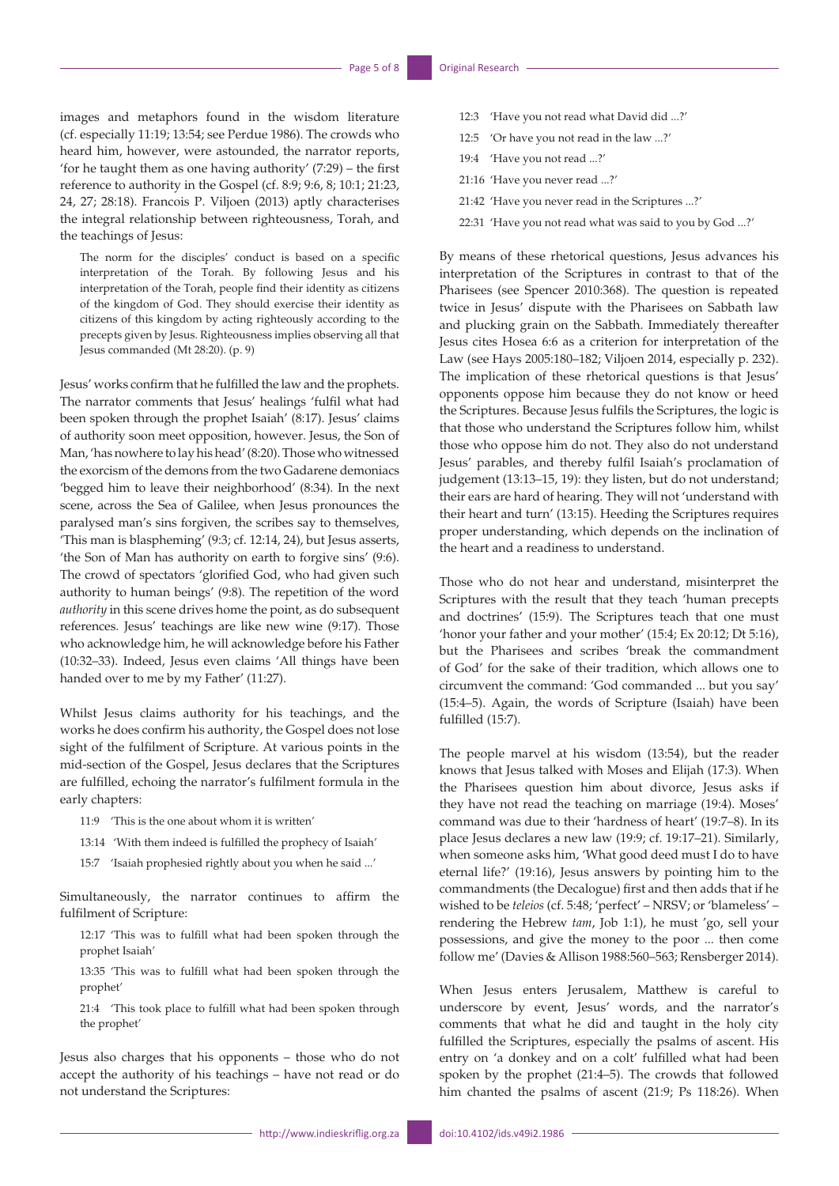images and metaphors found in the wisdom literature (cf. especially 11:19; 13:54; see Perdue 1986). The crowds who heard him, however, were astounded, the narrator reports, 'for he taught them as one having authority' (7:29) – the first reference to authority in the Gospel (cf. 8:9; 9:6, 8; 10:1; 21:23, 24, 27; 28:18). Francois P. Viljoen (2013) aptly characterises the integral relationship between righteousness, Torah, and the teachings of Jesus:

The norm for the disciples' conduct is based on a specific interpretation of the Torah. By following Jesus and his interpretation of the Torah, people find their identity as citizens of the kingdom of God. They should exercise their identity as citizens of this kingdom by acting righteously according to the precepts given by Jesus. Righteousness implies observing all that Jesus commanded (Mt 28:20). (p. 9)

Jesus' works confirm that he fulfilled the law and the prophets. The narrator comments that Jesus' healings 'fulfil what had been spoken through the prophet Isaiah' (8:17). Jesus' claims of authority soon meet opposition, however. Jesus, the Son of Man, 'has nowhere to lay his head' (8:20). Those who witnessed the exorcism of the demons from the two Gadarene demoniacs 'begged him to leave their neighborhood' (8:34). In the next scene, across the Sea of Galilee, when Jesus pronounces the paralysed man's sins forgiven, the scribes say to themselves, 'This man is blaspheming' (9:3; cf. 12:14, 24), but Jesus asserts, 'the Son of Man has authority on earth to forgive sins' (9:6). The crowd of spectators 'glorified God, who had given such authority to human beings' (9:8). The repetition of the word *authority* in this scene drives home the point, as do subsequent references. Jesus' teachings are like new wine (9:17). Those who acknowledge him, he will acknowledge before his Father (10:32–33). Indeed, Jesus even claims 'All things have been handed over to me by my Father' (11:27).

Whilst Jesus claims authority for his teachings, and the works he does confirm his authority, the Gospel does not lose sight of the fulfilment of Scripture. At various points in the mid-section of the Gospel, Jesus declares that the Scriptures are fulfilled, echoing the narrator's fulfilment formula in the early chapters:

- 11:9 'This is the one about whom it is written'
- 13:14 'With them indeed is fulfilled the prophecy of Isaiah'
- 15:7 'Isaiah prophesied rightly about you when he said ...'

Simultaneously, the narrator continues to affirm the fulfilment of Scripture:

12:17 'This was to fulfill what had been spoken through the prophet Isaiah'

13:35 'This was to fulfill what had been spoken through the prophet'

21:4 'This took place to fulfill what had been spoken through the prophet'

Jesus also charges that his opponents – those who do not accept the authority of his teachings – have not read or do not understand the Scriptures:

- 12:3 'Have you not read what David did ...?'
- 12:5 'Or have you not read in the law ...?'
- 19:4 'Have you not read ...?'
- 21:16 'Have you never read ...?'
- 21:42 'Have you never read in the Scriptures ...?'
- 22:31 'Have you not read what was said to you by God ...?'

By means of these rhetorical questions, Jesus advances his interpretation of the Scriptures in contrast to that of the Pharisees (see Spencer 2010:368). The question is repeated twice in Jesus' dispute with the Pharisees on Sabbath law and plucking grain on the Sabbath. Immediately thereafter Jesus cites Hosea 6:6 as a criterion for interpretation of the Law (see Hays 2005:180–182; Viljoen 2014, especially p. 232). The implication of these rhetorical questions is that Jesus' opponents oppose him because they do not know or heed the Scriptures. Because Jesus fulfils the Scriptures, the logic is that those who understand the Scriptures follow him, whilst those who oppose him do not. They also do not understand Jesus' parables, and thereby fulfil Isaiah's proclamation of judgement (13:13–15, 19): they listen, but do not understand; their ears are hard of hearing. They will not 'understand with their heart and turn' (13:15). Heeding the Scriptures requires proper understanding, which depends on the inclination of the heart and a readiness to understand.

Those who do not hear and understand, misinterpret the Scriptures with the result that they teach 'human precepts and doctrines' (15:9). The Scriptures teach that one must 'honor your father and your mother' (15:4; Ex 20:12; Dt 5:16), but the Pharisees and scribes 'break the commandment of God' for the sake of their tradition, which allows one to circumvent the command: 'God commanded ... but you say' (15:4–5). Again, the words of Scripture (Isaiah) have been fulfilled (15:7).

The people marvel at his wisdom (13:54), but the reader knows that Jesus talked with Moses and Elijah (17:3). When the Pharisees question him about divorce, Jesus asks if they have not read the teaching on marriage (19:4). Moses' command was due to their 'hardness of heart' (19:7–8). In its place Jesus declares a new law (19:9; cf. 19:17–21). Similarly, when someone asks him, 'What good deed must I do to have eternal life?' (19:16), Jesus answers by pointing him to the commandments (the Decalogue) first and then adds that if he wished to be *teleios* (cf. 5:48; 'perfect' – NRSV; or 'blameless' – rendering the Hebrew *tam*, Job 1:1), he must 'go, sell your possessions, and give the money to the poor ... then come follow me' (Davies & Allison 1988:560–563; Rensberger 2014).

When Jesus enters Jerusalem, Matthew is careful to underscore by event, Jesus' words, and the narrator's comments that what he did and taught in the holy city fulfilled the Scriptures, especially the psalms of ascent. His entry on 'a donkey and on a colt' fulfilled what had been spoken by the prophet (21:4–5). The crowds that followed him chanted the psalms of ascent (21:9; Ps 118:26). When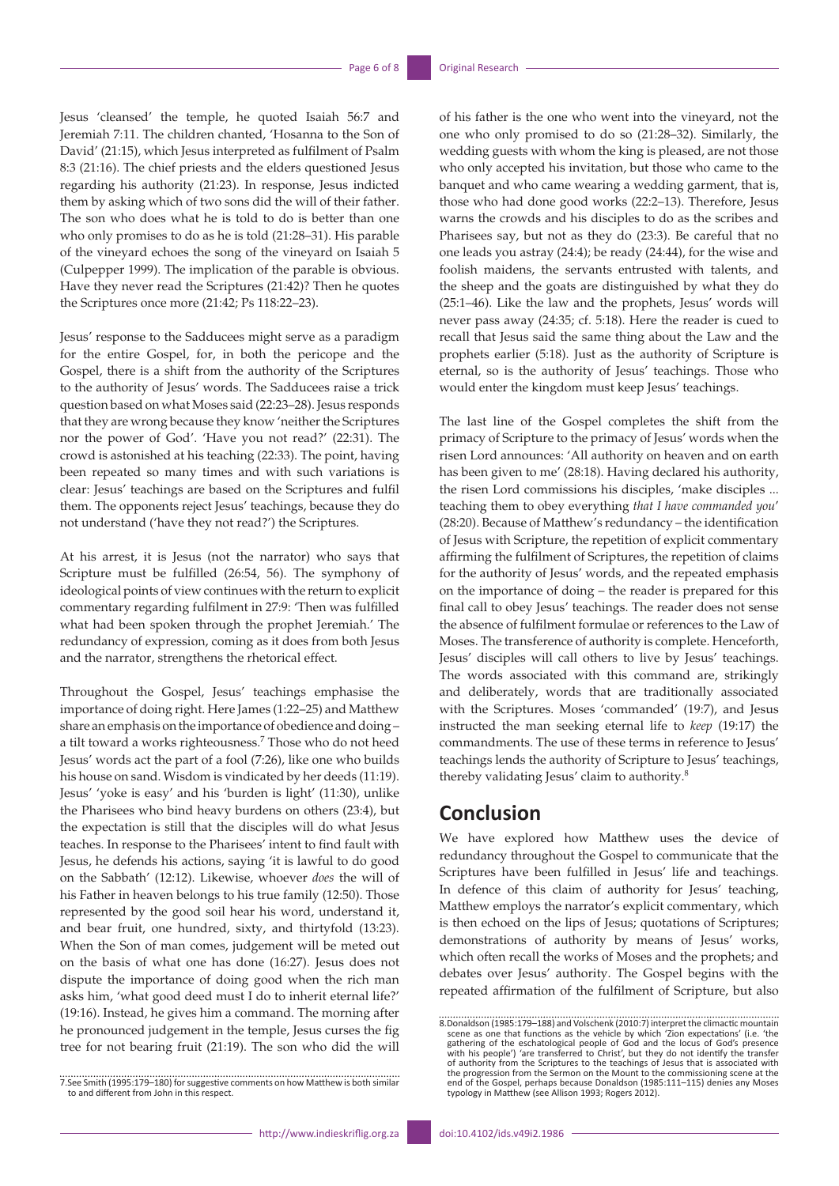Jesus 'cleansed' the temple, he quoted Isaiah 56:7 and Jeremiah 7:11. The children chanted, 'Hosanna to the Son of David' (21:15), which Jesus interpreted as fulfilment of Psalm 8:3 (21:16). The chief priests and the elders questioned Jesus regarding his authority (21:23). In response, Jesus indicted them by asking which of two sons did the will of their father. The son who does what he is told to do is better than one who only promises to do as he is told (21:28–31). His parable of the vineyard echoes the song of the vineyard on Isaiah 5 (Culpepper 1999). The implication of the parable is obvious. Have they never read the Scriptures (21:42)? Then he quotes the Scriptures once more (21:42; Ps 118:22–23).

Jesus' response to the Sadducees might serve as a paradigm for the entire Gospel, for, in both the pericope and the Gospel, there is a shift from the authority of the Scriptures to the authority of Jesus' words. The Sadducees raise a trick question based on what Moses said (22:23–28). Jesus responds that they are wrong because they know 'neither the Scriptures nor the power of God'. 'Have you not read?' (22:31). The crowd is astonished at his teaching (22:33). The point, having been repeated so many times and with such variations is clear: Jesus' teachings are based on the Scriptures and fulfil them. The opponents reject Jesus' teachings, because they do not understand ('have they not read?') the Scriptures.

At his arrest, it is Jesus (not the narrator) who says that Scripture must be fulfilled (26:54, 56). The symphony of ideological points of view continues with the return to explicit commentary regarding fulfilment in 27:9: 'Then was fulfilled what had been spoken through the prophet Jeremiah.' The redundancy of expression, coming as it does from both Jesus and the narrator, strengthens the rhetorical effect.

Throughout the Gospel, Jesus' teachings emphasise the importance of doing right. Here James (1:22–25) and Matthew share an emphasis on the importance of obedience and doing – a tilt toward a works righteousness.<sup>7</sup> Those who do not heed Jesus' words act the part of a fool (7:26), like one who builds his house on sand. Wisdom is vindicated by her deeds (11:19). Jesus' 'yoke is easy' and his 'burden is light' (11:30), unlike the Pharisees who bind heavy burdens on others (23:4), but the expectation is still that the disciples will do what Jesus teaches. In response to the Pharisees' intent to find fault with Jesus, he defends his actions, saying 'it is lawful to do good on the Sabbath' (12:12). Likewise, whoever *does* the will of his Father in heaven belongs to his true family (12:50). Those represented by the good soil hear his word, understand it, and bear fruit, one hundred, sixty, and thirtyfold (13:23). When the Son of man comes, judgement will be meted out on the basis of what one has done (16:27). Jesus does not dispute the importance of doing good when the rich man asks him, 'what good deed must I do to inherit eternal life?' (19:16). Instead, he gives him a command. The morning after he pronounced judgement in the temple, Jesus curses the fig tree for not bearing fruit (21:19). The son who did the will

of his father is the one who went into the vineyard, not the one who only promised to do so (21:28–32). Similarly, the wedding guests with whom the king is pleased, are not those who only accepted his invitation, but those who came to the banquet and who came wearing a wedding garment, that is, those who had done good works (22:2–13). Therefore, Jesus warns the crowds and his disciples to do as the scribes and Pharisees say, but not as they do (23:3). Be careful that no one leads you astray (24:4); be ready (24:44), for the wise and foolish maidens, the servants entrusted with talents, and the sheep and the goats are distinguished by what they do (25:1–46). Like the law and the prophets, Jesus' words will never pass away (24:35; cf. 5:18). Here the reader is cued to recall that Jesus said the same thing about the Law and the prophets earlier (5:18). Just as the authority of Scripture is eternal, so is the authority of Jesus' teachings. Those who would enter the kingdom must keep Jesus' teachings.

The last line of the Gospel completes the shift from the primacy of Scripture to the primacy of Jesus' words when the risen Lord announces: 'All authority on heaven and on earth has been given to me' (28:18). Having declared his authority, the risen Lord commissions his disciples, 'make disciples ... teaching them to obey everything *that I have commanded you*' (28:20). Because of Matthew's redundancy – the identification of Jesus with Scripture, the repetition of explicit commentary affirming the fulfilment of Scriptures, the repetition of claims for the authority of Jesus' words, and the repeated emphasis on the importance of doing – the reader is prepared for this final call to obey Jesus' teachings. The reader does not sense the absence of fulfilment formulae or references to the Law of Moses. The transference of authority is complete. Henceforth, Jesus' disciples will call others to live by Jesus' teachings. The words associated with this command are, strikingly and deliberately, words that are traditionally associated with the Scriptures. Moses 'commanded' (19:7), and Jesus instructed the man seeking eternal life to *keep* (19:17) the commandments. The use of these terms in reference to Jesus' teachings lends the authority of Scripture to Jesus' teachings, thereby validating Jesus' claim to authority.<sup>8</sup>

### **Conclusion**

We have explored how Matthew uses the device of redundancy throughout the Gospel to communicate that the Scriptures have been fulfilled in Jesus' life and teachings. In defence of this claim of authority for Jesus' teaching, Matthew employs the narrator's explicit commentary, which is then echoed on the lips of Jesus; quotations of Scriptures; demonstrations of authority by means of Jesus' works, which often recall the works of Moses and the prophets; and debates over Jesus' authority. The Gospel begins with the repeated affirmation of the fulfilment of Scripture, but also

<sup>7.</sup>See Smith (1995:179–180) for suggestive comments on how Matthew is both similar to and different from John in this respect.

<sup>8.</sup>Donaldson (1985:179–188) and Volschenk (2010:7) interpret the climactic mountain scene as one that functions as the vehicle by which 'Zion expectations' (i.e. 'the gathering of the eschatological people of God and the locus of God's presence with his people') 'are transferred to Christ', but they do no the progression from the Sermon on the Mount to the commissioning scene at the end of the Gospel, perhaps because Donaldson (1985:111–115) denies any Moses typology in Matthew (see Allison 1993; Rogers 2012).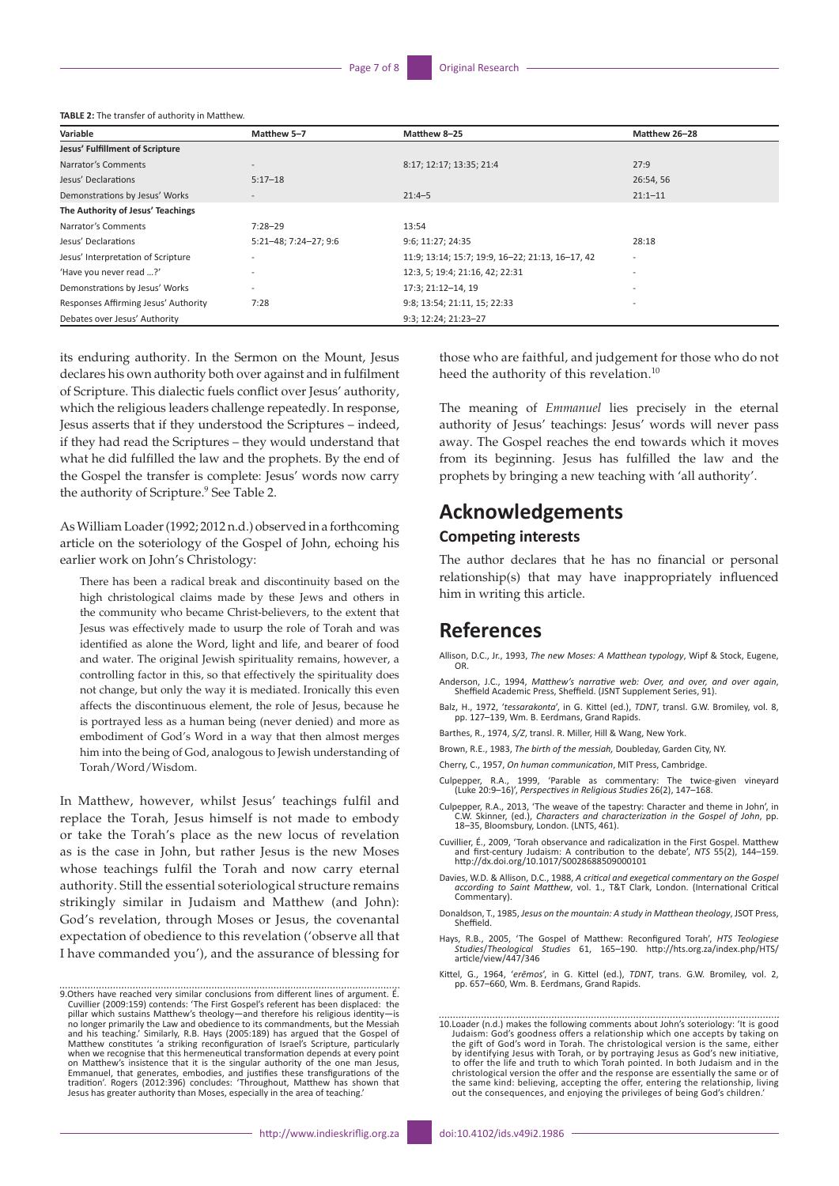**TABLE 2:** The transfer of authority in Matthew.

| Variable                             | Matthew 5-7              | Matthew 8-25                                     | Matthew 26-28            |  |  |
|--------------------------------------|--------------------------|--------------------------------------------------|--------------------------|--|--|
| Jesus' Fulfillment of Scripture      |                          |                                                  |                          |  |  |
| Narrator's Comments                  | $\overline{\phantom{a}}$ | 8:17; 12:17; 13:35; 21:4                         | 27:9                     |  |  |
| Jesus' Declarations                  | $5:17 - 18$              |                                                  | 26:54,56                 |  |  |
| Demonstrations by Jesus' Works       | $\overline{\phantom{a}}$ | $21:4 - 5$                                       | $21:1 - 11$              |  |  |
| The Authority of Jesus' Teachings    |                          |                                                  |                          |  |  |
| Narrator's Comments                  | $7:28 - 29$              | 13:54                                            |                          |  |  |
| Jesus' Declarations                  | 5:21-48: 7:24-27: 9:6    | 9:6; 11:27; 24:35                                | 28:18                    |  |  |
| Jesus' Interpretation of Scripture   |                          | 11:9; 13:14; 15:7; 19:9, 16-22; 21:13, 16-17, 42 | $\overline{\phantom{a}}$ |  |  |
| 'Have you never read ?'              | $\overline{a}$           | 12:3, 5; 19:4; 21:16, 42; 22:31                  | $\overline{\phantom{a}}$ |  |  |
| Demonstrations by Jesus' Works       | $\overline{a}$           | 17:3; 21:12-14, 19                               |                          |  |  |
| Responses Affirming Jesus' Authority | 7:28                     | 9:8; 13:54; 21:11, 15; 22:33                     |                          |  |  |
| Debates over Jesus' Authority        |                          | 9:3; 12:24; 21:23-27                             |                          |  |  |

its enduring authority. In the Sermon on the Mount, Jesus declares his own authority both over against and in fulfilment of Scripture. This dialectic fuels conflict over Jesus' authority, which the religious leaders challenge repeatedly. In response, Jesus asserts that if they understood the Scriptures – indeed, if they had read the Scriptures – they would understand that what he did fulfilled the law and the prophets. By the end of the Gospel the transfer is complete: Jesus' words now carry the authority of Scripture.<sup>9</sup> See Table 2.

As William Loader (1992; 2012 n.d.) observed in a forthcoming article on the soteriology of the Gospel of John, echoing his earlier work on John's Christology:

There has been a radical break and discontinuity based on the high christological claims made by these Jews and others in the community who became Christ-believers, to the extent that Jesus was effectively made to usurp the role of Torah and was identified as alone the Word, light and life, and bearer of food and water. The original Jewish spirituality remains, however, a controlling factor in this, so that effectively the spirituality does not change, but only the way it is mediated. Ironically this even affects the discontinuous element, the role of Jesus, because he is portrayed less as a human being (never denied) and more as embodiment of God's Word in a way that then almost merges him into the being of God, analogous to Jewish understanding of Torah/Word/Wisdom.

In Matthew, however, whilst Jesus' teachings fulfil and replace the Torah, Jesus himself is not made to embody or take the Torah's place as the new locus of revelation as is the case in John, but rather Jesus is the new Moses whose teachings fulfil the Torah and now carry eternal authority. Still the essential soteriological structure remains strikingly similar in Judaism and Matthew (and John): God's revelation, through Moses or Jesus, the covenantal expectation of obedience to this revelation ('observe all that I have commanded you'), and the assurance of blessing for those who are faithful, and judgement for those who do not heed the authority of this revelation.<sup>10</sup>

The meaning of *Emmanuel* lies precisely in the eternal authority of Jesus' teachings: Jesus' words will never pass away. The Gospel reaches the end towards which it moves from its beginning. Jesus has fulfilled the law and the prophets by bringing a new teaching with 'all authority'.

## **Acknowledgements**

### **Competing interests**

The author declares that he has no financial or personal relationship(s) that may have inappropriately influenced him in writing this article.

### **References**

- Allison, D.C., Jr., 1993, *The new Moses: A Matthean typology*, Wipf & Stock, Eugene, OR.
- Anderson, J.C., 1994, *Matthew's narrative web: Over, and over, and over again*, Sheffield Academic Press, Sheffield. (JSNT Supplement Series, 91).
- Balz, H., 1972, '*tessarakonta*', in G. Kittel (ed.), *TDNT*, transl. G.W. Bromiley, vol. 8, pp. 127–139, Wm. B. Eerdmans, Grand Rapids.
- Barthes, R., 1974, *S/Z*, transl. R. Miller, Hill & Wang, New York.
- Brown, R.E., 1983, *The birth of the messiah,* Doubleday, Garden City, NY.
- Cherry, C., 1957, *On human communication*, MIT Press, Cambridge.
- Culpepper, R.A., 1999, 'Parable as commentary: The twice-given vineyard (Luke 20:9–16)', *Perspectives in Religious Studies* 26(2), 147–168.
- Culpepper, R.A., 2013, 'The weave of the tapestry: Character and theme in John', in C.W. Skinner, (ed.), *Characters and characterization in the Gospel of John*, pp. 18–35, Bloomsbury, London. (LNTS, 461).
- Cuvillier, É., 2009, 'Torah observance and radicalization in the First Gospel. Matthew and first-century Judaism: A contribution to the debate', *NTS* 55(2), 144–159. <http://dx.doi.org/10.1017/S0028688509000101>
- Davies, W.D. & Allison, D.C., 1988, *A critical and exegetical commentary on the Gospel according to Saint Matthew*, vol. 1., T&T Clark, London. (International Critical Commentary).
- Donaldson, T., 1985, *Jesus on the mountain: A study in Matthean theology*, JSOT Press, **Sheffield**
- Hays, R.B., 2005, 'The Gospel of Matthew: Reconfigured Torah', *HTS Teologiese Studies*/*Theological Studies* 61, 165–190. [http://hts.org.za/index.php/HTS/](http://hts.org.za/index.php/HTS/article/view/447/346) [article/view/447/346](http://hts.org.za/index.php/HTS/article/view/447/346)
- Kittel, G., 1964, '*erēmos*', in G. Kittel (ed.), *TDNT*, trans. G.W. Bromiley, vol. 2, pp. 657–660, Wm. B. Eerdmans, Grand Rapids.

<sup>9.</sup>Others have reached very similar conclusions from different lines of argument. É. Cuvillier (2009:159) contends: 'The First Gospel's referent has been displaced: the pillar which sustains Matthew's theology—and therefore his religious identity—is no longer primarily the Law and obedience to its commandments, but the Messiah<br>and his teaching.' Similarly, R.B. Hays (2005:189) has argued that the Gospel of<br>Matthew constitutes 'a striking reconfiguration of Israel's Sc when we recognise that this hermeneutical transformation depends at every point<br>on Matthew's insistence that it is the singular authority of the one man Jesus,<br>Emmanuel, that generates, embodies, and justifies these transf tradition'. Rogers (2012:396) concludes: 'Throughout, Matthew has shown that Jesus has greater authority than Moses, especially in the area of teaching.

<sup>10.</sup>Loader (n.d.) makes the following comments about John's soteriology: 'It is good Judaism: God's goodness offers a relationship which one accepts by taking on the gift of God's word in Torah. The christological version is the same, either by identifying Jesus with Torah, or by portraying Jesus as God's new initiative, to offer the life and truth to which Torah pointed. In both Judaism and in the christological version the offer and the response are essentially the same or of the same kind: believing, accepting the offer, entering the relationship, living out the consequences, and enjoying the privileges of being God's children.'